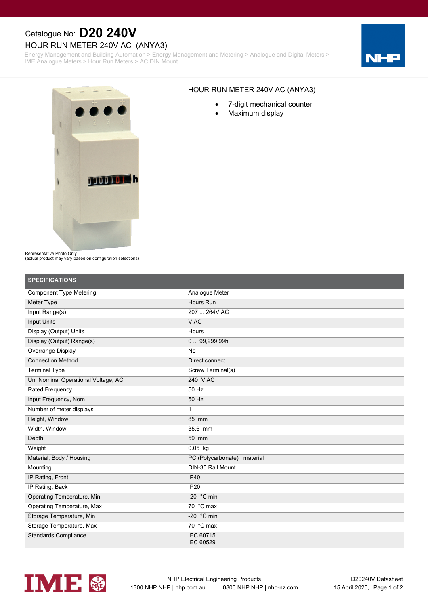# Catalogue No: **D20 240V**

### HOUR RUN METER 240V AC (ANYA3)

Energy Management and Building Automation > Energy Management and Metering > Analogue and Digital Meters > IME Analogue Meters > Hour Run Meters > AC DIN Mount





#### HOUR RUN METER 240V AC (ANYA3)

- · 7-digit mechanical counter
- · Maximum display

Representative Photo Only

(actual product may vary based on configuration selections)

| <b>SPECIFICATIONS</b>               |                                      |
|-------------------------------------|--------------------------------------|
| <b>Component Type Metering</b>      | Analogue Meter                       |
| Meter Type                          | Hours Run                            |
| Input Range(s)                      | 207  264V AC                         |
| <b>Input Units</b>                  | V AC                                 |
| Display (Output) Units              | Hours                                |
| Display (Output) Range(s)           | 0  99,999.99h                        |
| Overrange Display                   | No                                   |
| <b>Connection Method</b>            | Direct connect                       |
| <b>Terminal Type</b>                | Screw Terminal(s)                    |
| Un, Nominal Operational Voltage, AC | 240 V AC                             |
| Rated Frequency                     | 50 Hz                                |
| Input Frequency, Nom                | 50 Hz                                |
| Number of meter displays            | 1                                    |
| Height, Window                      | 85 mm                                |
| Width, Window                       | 35.6 mm                              |
| Depth                               | 59 mm                                |
| Weight                              | $0.05$ kg                            |
| Material, Body / Housing            | PC (Polycarbonate) material          |
| Mounting                            | DIN-35 Rail Mount                    |
| IP Rating, Front                    | <b>IP40</b>                          |
| IP Rating, Back                     | <b>IP20</b>                          |
| Operating Temperature, Min          | -20 $\degree$ C min                  |
| Operating Temperature, Max          | 70 °C max                            |
| Storage Temperature, Min            | -20 $\degree$ C min                  |
| Storage Temperature, Max            | 70 °C max                            |
| <b>Standards Compliance</b>         | <b>IEC 60715</b><br><b>IEC 60529</b> |